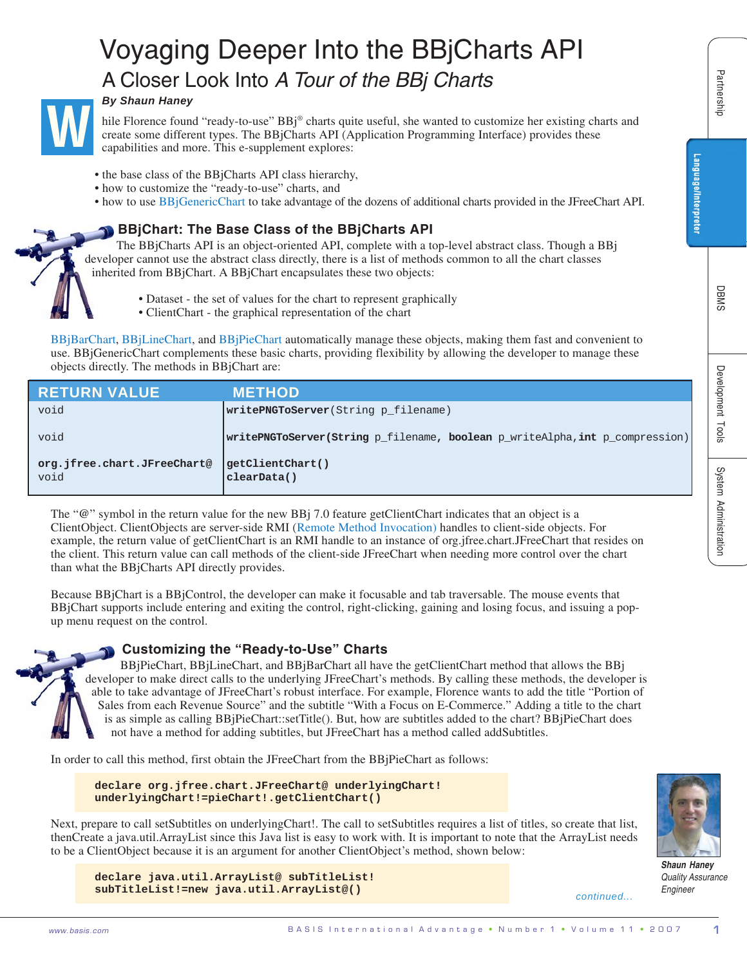# Voyaging Deeper Into the BBjCharts API A Closer Look Into *A Tour of the BBj Charts*



# *By Shaun Haney*

- the base class of the BBjCharts API class hierarchy,
- how to customize the "ready-to-use" charts, and
- how to use BBjGenericChart to take advantage of the dozens of additional charts provided in the JFreeChart API.

# **BBjChart: The Base Class of the BBjCharts API**

- Dataset the set of values for the chart to represent graphically
- ClientChart the graphical representation of the chart

| <b>By Shaun Haney</b>                                                                                                                                                                                                                                                                                                                                                                                                                                                                                                                 | A Closer Look Into A Tour of the BBj Charts                                                                                                                                                                                                                                                                                                                                                                                                                                                                                                                                                                                                                                                                           |                                                   | Partnership           |
|---------------------------------------------------------------------------------------------------------------------------------------------------------------------------------------------------------------------------------------------------------------------------------------------------------------------------------------------------------------------------------------------------------------------------------------------------------------------------------------------------------------------------------------|-----------------------------------------------------------------------------------------------------------------------------------------------------------------------------------------------------------------------------------------------------------------------------------------------------------------------------------------------------------------------------------------------------------------------------------------------------------------------------------------------------------------------------------------------------------------------------------------------------------------------------------------------------------------------------------------------------------------------|---------------------------------------------------|-----------------------|
|                                                                                                                                                                                                                                                                                                                                                                                                                                                                                                                                       | hile Florence found "ready-to-use" BBj® charts quite useful, she wanted to customize her existing charts and<br>create some different types. The BBjCharts API (Application Programming Interface) provides these<br>capabilities and more. This e-supplement explores:                                                                                                                                                                                                                                                                                                                                                                                                                                               |                                                   |                       |
| • how to customize the "ready-to-use" charts, and                                                                                                                                                                                                                                                                                                                                                                                                                                                                                     | • the base class of the BBjCharts API class hierarchy,<br>• how to use BBjGenericChart to take advantage of the dozens of additional charts provided in the JFreeChart API.                                                                                                                                                                                                                                                                                                                                                                                                                                                                                                                                           | Language/Interpreter                              |                       |
|                                                                                                                                                                                                                                                                                                                                                                                                                                                                                                                                       | <b>BBjChart: The Base Class of the BBjCharts API</b><br>The BBjCharts API is an object-oriented API, complete with a top-level abstract class. Though a BBj<br>developer cannot use the abstract class directly, there is a list of methods common to all the chart classes<br>inherited from BBjChart. A BBjChart encapsulates these two objects:                                                                                                                                                                                                                                                                                                                                                                    |                                                   |                       |
|                                                                                                                                                                                                                                                                                                                                                                                                                                                                                                                                       | • Dataset - the set of values for the chart to represent graphically<br>• ClientChart - the graphical representation of the chart                                                                                                                                                                                                                                                                                                                                                                                                                                                                                                                                                                                     |                                                   | DBMS                  |
| objects directly. The methods in BBjChart are:                                                                                                                                                                                                                                                                                                                                                                                                                                                                                        | BBjBarChart, BBjLineChart, and BBjPieChart automatically manage these objects, making them fast and convenient to<br>use. BBjGenericChart complements these basic charts, providing flexibility by allowing the developer to manage these                                                                                                                                                                                                                                                                                                                                                                                                                                                                             |                                                   |                       |
| <b>RETURN VALUE</b>                                                                                                                                                                                                                                                                                                                                                                                                                                                                                                                   | <b>METHOD</b>                                                                                                                                                                                                                                                                                                                                                                                                                                                                                                                                                                                                                                                                                                         |                                                   |                       |
| void                                                                                                                                                                                                                                                                                                                                                                                                                                                                                                                                  | writePNGToServer(String p_filename)                                                                                                                                                                                                                                                                                                                                                                                                                                                                                                                                                                                                                                                                                   |                                                   | Development Tools     |
| void                                                                                                                                                                                                                                                                                                                                                                                                                                                                                                                                  | writePNGToServer(String p_filename, boolean p_writeAlpha, int p_compression)                                                                                                                                                                                                                                                                                                                                                                                                                                                                                                                                                                                                                                          |                                                   |                       |
| org.jfree.chart.JFreeChart@<br>void                                                                                                                                                                                                                                                                                                                                                                                                                                                                                                   | getClientChart()<br>clearData()                                                                                                                                                                                                                                                                                                                                                                                                                                                                                                                                                                                                                                                                                       |                                                   |                       |
| The "@" symbol in the return value for the new BBj 7.0 feature getClientChart indicates that an object is a<br>ClientObject. ClientObjects are server-side RMI (Remote Method Invocation) handles to client-side objects. For<br>example, the return value of getClientChart is an RMI handle to an instance of org.jfree.chart.JFreeChart that resides on<br>the client. This return value can call methods of the client-side JFreeChart when needing more control over the chart<br>than what the BBjCharts API directly provides. |                                                                                                                                                                                                                                                                                                                                                                                                                                                                                                                                                                                                                                                                                                                       |                                                   | System Administration |
| up menu request on the control.                                                                                                                                                                                                                                                                                                                                                                                                                                                                                                       | Because BBjChart is a BBjControl, the developer can make it focusable and tab traversable. The mouse events that<br>BBjChart supports include entering and exiting the control, right-clicking, gaining and losing focus, and issuing a pop-                                                                                                                                                                                                                                                                                                                                                                                                                                                                          |                                                   |                       |
|                                                                                                                                                                                                                                                                                                                                                                                                                                                                                                                                       | <b>Customizing the "Ready-to-Use" Charts</b><br>BBjPieChart, BBjLineChart, and BBjBarChart all have the getClientChart method that allows the BBj<br>developer to make direct calls to the underlying JFreeChart's methods. By calling these methods, the developer is<br>able to take advantage of JFreeChart's robust interface. For example, Florence wants to add the title "Portion of<br>Sales from each Revenue Source" and the subtitle "With a Focus on E-Commerce." Adding a title to the chart<br>is as simple as calling BBjPieChart::setTitle(). But, how are subtitles added to the chart? BBjPieChart does<br>not have a method for adding subtitles, but JFreeChart has a method called addSubtitles. |                                                   |                       |
|                                                                                                                                                                                                                                                                                                                                                                                                                                                                                                                                       | In order to call this method, first obtain the JFreeChart from the BBjPieChart as follows:                                                                                                                                                                                                                                                                                                                                                                                                                                                                                                                                                                                                                            |                                                   |                       |
|                                                                                                                                                                                                                                                                                                                                                                                                                                                                                                                                       | declare org.jfree.chart.JFreeChart@ underlyingChart!<br>underlyingChart!=pieChart!.getClientChart()                                                                                                                                                                                                                                                                                                                                                                                                                                                                                                                                                                                                                   |                                                   |                       |
|                                                                                                                                                                                                                                                                                                                                                                                                                                                                                                                                       | Next, prepare to call setSubtitles on underlyingChart!. The call to setSubtitles requires a list of titles, so create that list,<br>then Create a java.util. Array List since this Java list is easy to work with. It is important to note that the Array List needs<br>to be a ClientObject because it is an argument for another ClientObject's method, shown below:                                                                                                                                                                                                                                                                                                                                                | <b>Shaun Haney</b>                                |                       |
|                                                                                                                                                                                                                                                                                                                                                                                                                                                                                                                                       | declare java.util.ArrayList@ subTitleList!<br>subTitleList!=new java.util.ArrayList@()                                                                                                                                                                                                                                                                                                                                                                                                                                                                                                                                                                                                                                | <b>Quality Assurance</b><br>Engineer<br>continued |                       |
| www.basis.com                                                                                                                                                                                                                                                                                                                                                                                                                                                                                                                         | BASIS International Advantage • Number 1 • Volume 11 • 2007                                                                                                                                                                                                                                                                                                                                                                                                                                                                                                                                                                                                                                                           |                                                   |                       |

# **Customizing the "Ready-to-Use" Charts**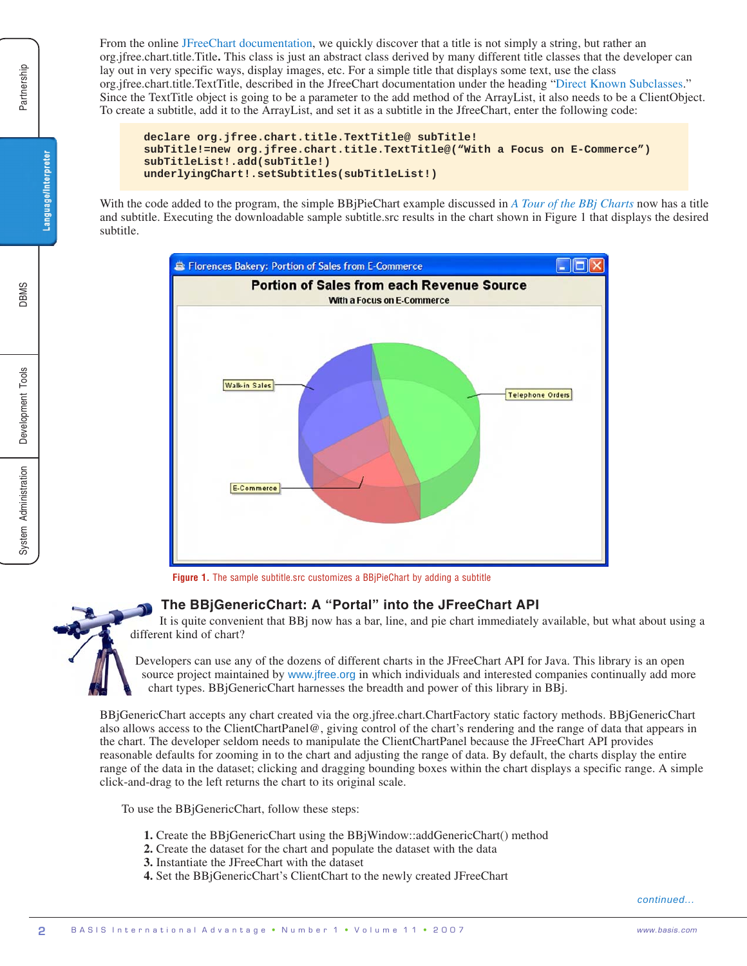From the online JFreeChart documentation, we quickly discover that a title is not simply a string, but rather an org.jfree.chart.title.Title**.** This class is just an abstract class derived by many different title classes that the developer can lay out in very specific ways, display images, etc. For a simple title that displays some text, use the class org.jfree.chart.title.TextTitle, described in the JfreeChart documentation under the heading "Direct Known Subclasses." Since the TextTitle object is going to be a parameter to the add method of the ArrayList, it also needs to be a ClientObject. To create a subtitle, add it to the ArrayList, and set it as a subtitle in the JfreeChart, enter the following code:

```
declare org.jfree.chart.title.TextTitle@ subTitle!
subTitle!=new org.jfree.chart.title.TextTitle@("With a Focus on E-Commerce")
subTitleList!.add(subTitle!)
underlyingChart!.setSubtitles(subTitleList!)
```
With the code added to the program, the simple BBjPieChart example discussed in *A Tour of the BBj Charts* now has a title and subtitle. Executing the downloadable sample subtitle.src results in the chart shown in Figure 1 that displays the desired subtitle.



**Figure 1.** The sample subtitle.src customizes a BBjPieChart by adding a subtitle

# **The BBjGenericChart: A "Portal" into the JFreeChart API**

It is quite convenient that BBj now has a bar, line, and pie chart immediately available, but what about using a different kind of chart?

Developers can use any of the dozens of different charts in the JFreeChart API for Java. This library is an open source project maintained by www.jfree.org in which individuals and interested companies continually add more chart types. BBjGenericChart harnesses the breadth and power of this library in BBj.

BBjGenericChart accepts any chart created via the org.jfree.chart.ChartFactory static factory methods. BBjGenericChart also allows access to the ClientChartPanel@, giving control of the chart's rendering and the range of data that appears in the chart. The developer seldom needs to manipulate the ClientChartPanel because the JFreeChart API provides reasonable defaults for zooming in to the chart and adjusting the range of data. By default, the charts display the entire range of the data in the dataset; clicking and dragging bounding boxes within the chart displays a specific range. A simple click-and-drag to the left returns the chart to its original scale.

To use the BBjGenericChart, follow these steps:

- **1.** Create the BBjGenericChart using the BBjWindow::addGenericChart() method
- **2.** Create the dataset for the chart and populate the dataset with the data
- **3.** Instantiate the JFreeChart with the dataset
- **4.** Set the BBjGenericChart's ClientChart to the newly created JFreeChart

Partnership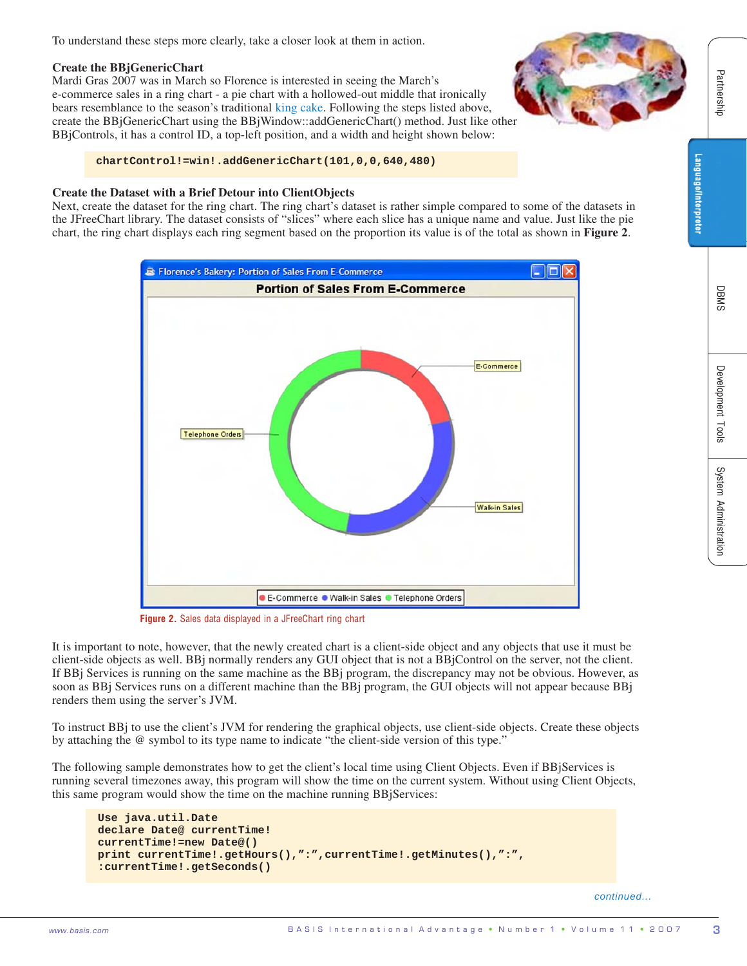To understand these steps more clearly, take a closer look at them in action.

# **Create the BBjGenericChart**

Mardi Gras 2007 was in March so Florence is interested in seeing the March's e-commerce sales in a ring chart - a pie chart with a hollowed-out middle that ironically bears resemblance to the season's traditional king cake. Following the steps listed above, create the BBjGenericChart using the BBjWindow::addGenericChart() method. Just like other BBjControls, it has a control ID, a top-left position, and a width and height shown below:

# **chartControl!=win!.addGenericChart(101,0,0,640,480)**

#### **Create the Dataset with a Brief Detour into ClientObjects**

Next, create the dataset for the ring chart. The ring chart's dataset is rather simple compared to some of the datasets in the JFreeChart library. The dataset consists of "slices" where each slice has a unique name and value. Just like the pie chart, the ring chart displays each ring segment based on the proportion its value is of the total as shown in **Figure 2**.



**Figure 2.** Sales data displayed in a JFreeChart ring chart

It is important to note, however, that the newly created chart is a client-side object and any objects that use it must be client-side objects as well. BBj normally renders any GUI object that is not a BBjControl on the server, not the client. If BBj Services is running on the same machine as the BBj program, the discrepancy may not be obvious. However, as soon as BBj Services runs on a different machine than the BBj program, the GUI objects will not appear because BBj renders them using the server's JVM.

To instruct BBj to use the client's JVM for rendering the graphical objects, use client-side objects. Create these objects by attaching the @ symbol to its type name to indicate "the client-side version of this type."

The following sample demonstrates how to get the client's local time using Client Objects. Even if BBjServices is running several timezones away, this program will show the time on the current system. Without using Client Objects, this same program would show the time on the machine running BBjServices:

```
Use java.util.Date
declare Date@ currentTime!
currentTime!=new Date@()
print currentTime!.getHours(),":",currentTime!.getMinutes(),":",
:currentTime!.getSeconds()
```
*continued...*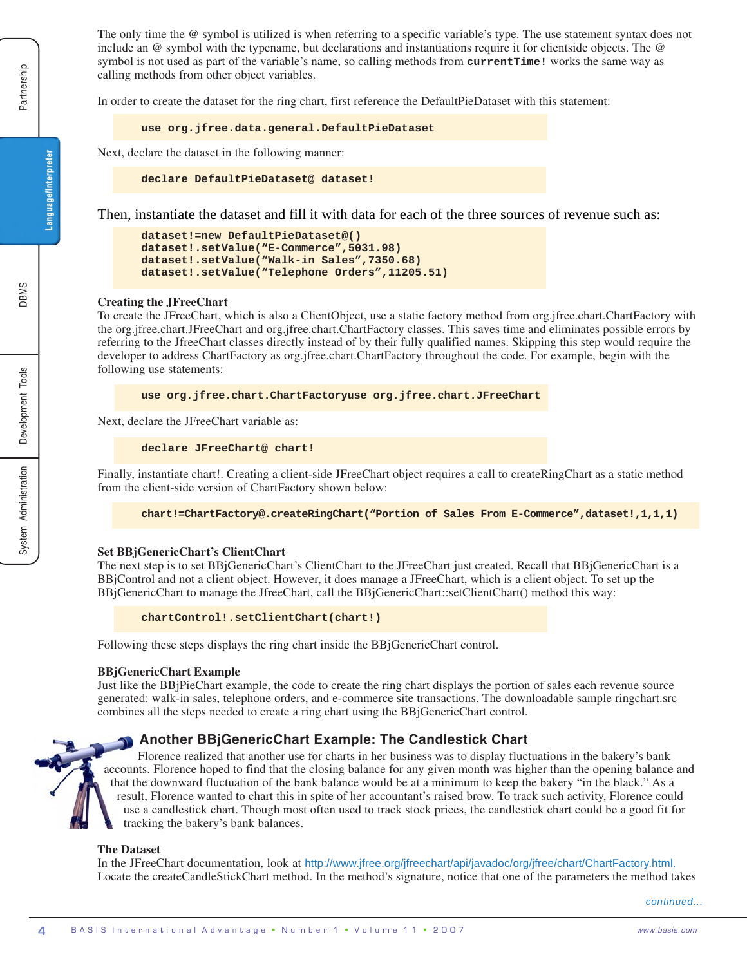The only time the @ symbol is utilized is when referring to a specific variable's type. The use statement syntax does not include an @ symbol with the typename, but declarations and instantiations require it for clientside objects. The @ symbol is not used as part of the variable's name, so calling methods from **currentTime!** works the same way as calling methods from other object variables.

In order to create the dataset for the ring chart, first reference the DefaultPieDataset with this statement:

**use org.jfree.data.general.DefaultPieDataset**

Next, declare the dataset in the following manner:

**declare DefaultPieDataset@ dataset!**

Then, instantiate the dataset and fill it with data for each of the three sources of revenue such as:

```
dataset!=new DefaultPieDataset@()
dataset!.setValue("E-Commerce",5031.98)
dataset!.setValue("Walk-in Sales",7350.68)
dataset!.setValue("Telephone Orders",11205.51)
```
#### **Creating the JFreeChart**

To create the JFreeChart, which is also a ClientObject, use a static factory method from org.jfree.chart.ChartFactory with the org.jfree.chart.JFreeChart and org.jfree.chart.ChartFactory classes. This saves time and eliminates possible errors by referring to the JfreeChart classes directly instead of by their fully qualified names. Skipping this step would require the developer to address ChartFactory as org.jfree.chart.ChartFactory throughout the code. For example, begin with the following use statements:

**use org.jfree.chart.ChartFactoryuse org.jfree.chart.JFreeChart**

Next, declare the JFreeChart variable as:

**declare JFreeChart@ chart!**

Finally, instantiate chart!. Creating a client-side JFreeChart object requires a call to createRingChart as a static method from the client-side version of ChartFactory shown below:

**chart!=ChartFactory@.createRingChart("Portion of Sales From E-Commerce",dataset!,1,1,1)**

#### **Set BBjGenericChart's ClientChart**

The next step is to set BBjGenericChart's ClientChart to the JFreeChart just created. Recall that BBjGenericChart is a BBjControl and not a client object. However, it does manage a JFreeChart, which is a client object. To set up the BBjGenericChart to manage the JfreeChart, call the BBjGenericChart::setClientChart() method this way:

```
chartControl!.setClientChart(chart!)
```
Following these steps displays the ring chart inside the BBjGenericChart control.

#### **BBjGenericChart Example**

Just like the BBjPieChart example, the code to create the ring chart displays the portion of sales each revenue source generated: walk-in sales, telephone orders, and e-commerce site transactions. The downloadable sample ringchart.src combines all the steps needed to create a ring chart using the BBjGenericChart control.

#### **Another BBjGenericChart Example: The Candlestick Chart**

Florence realized that another use for charts in her business was to display fluctuations in the bakery's bank accounts. Florence hoped to find that the closing balance for any given month was higher than the opening balance and that the downward fluctuation of the bank balance would be at a minimum to keep the bakery "in the black." As a result, Florence wanted to chart this in spite of her accountant's raised brow. To track such activity, Florence could use a candlestick chart. Though most often used to track stock prices, the candlestick chart could be a good fit for tracking the bakery's bank balances.

#### **The Dataset**

In the JFreeChart documentation, look at http://www.jfree.org/jfreechart/api/javadoc/org/jfree/chart/ChartFactory.html. Locate the createCandleStickChart method. In the method's signature, notice that one of the parameters the method takes

*continued...*

Language/Interpreter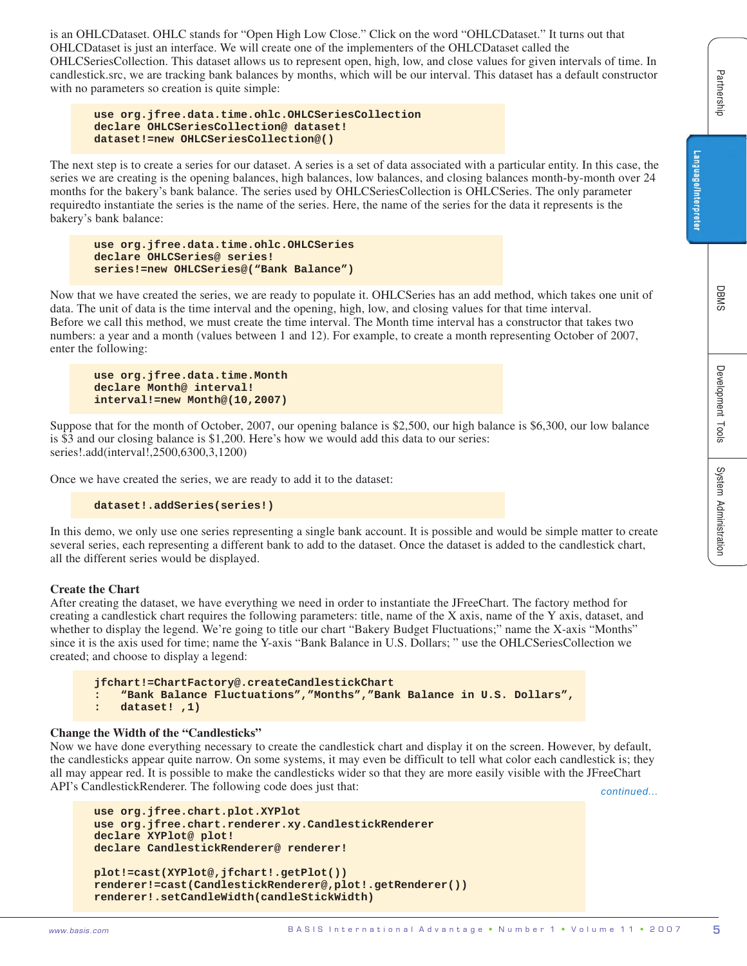is an OHLCDataset. OHLC stands for "Open High Low Close." Click on the word "OHLCDataset." It turns out that OHLCDataset is just an interface. We will create one of the implementers of the OHLCDataset called the OHLCSeriesCollection. This dataset allows us to represent open, high, low, and close values for given intervals of time. In candlestick.src, we are tracking bank balances by months, which will be our interval. This dataset has a default constructor with no parameters so creation is quite simple:

**use org.jfree.data.time.ohlc.OHLCSeriesCollection declare OHLCSeriesCollection@ dataset! dataset!=new OHLCSeriesCollection@()**

The next step is to create a series for our dataset. A series is a set of data associated with a particular entity. In this case, the series we are creating is the opening balances, high balances, low balances, and closing balances month-by-month over 24 months for the bakery's bank balance. The series used by OHLCSeriesCollection is OHLCSeries. The only parameter requiredto instantiate the series is the name of the series. Here, the name of the series for the data it represents is the bakery's bank balance:

```
use org.jfree.data.time.ohlc.OHLCSeries
declare OHLCSeries@ series!
series!=new OHLCSeries@("Bank Balance")
```
s comediately are proposed to the reliability of the reliability of the reliability of the reliability of the reliability of the reliability of the reliability of the reliability of the reliability of the reliability of t Now that we have created the series, we are ready to populate it. OHLCSeries has an add method, which takes one unit of data. The unit of data is the time interval and the opening, high, low, and closing values for that time interval. Before we call this method, we must create the time interval. The Month time interval has a constructor that takes two numbers: a year and a month (values between 1 and 12). For example, to create a month representing October of 2007, enter the following:

```
use org.jfree.data.time.Month
declare Month@ interval!
interval!=new Month@(10,2007)
```
Suppose that for the month of October, 2007, our opening balance is \$2,500, our high balance is \$6,300, our low balance is \$3 and our closing balance is \$1,200. Here's how we would add this data to our series: series!.add(interval!,2500,6300,3,1200)

Once we have created the series, we are ready to add it to the dataset:

```
dataset!.addSeries(series!)
```
In this demo, we only use one series representing a single bank account. It is possible and would be simple matter to create several series, each representing a different bank to add to the dataset. Once the dataset is added to the candlestick chart, all the different series would be displayed.

#### **Create the Chart**

After creating the dataset, we have everything we need in order to instantiate the JFreeChart. The factory method for creating a candlestick chart requires the following parameters: title, name of the X axis, name of the Y axis, dataset, and whether to display the legend. We're going to title our chart "Bakery Budget Fluctuations;" name the X-axis "Months" since it is the axis used for time; name the Y-axis "Bank Balance in U.S. Dollars; " use the OHLCSeriesCollection we created; and choose to display a legend:

```
jfchart!=ChartFactory@.createCandlestickChart
: "Bank Balance Fluctuations","Months","Bank Balance in U.S. Dollars",
: dataset! ,1)
```
### **Change the Width of the "Candlesticks"**

Now we have done everything necessary to create the candlestick chart and display it on the screen. However, by default, the candlesticks appear quite narrow. On some systems, it may even be difficult to tell what color each candlestick is; they all may appear red. It is possible to make the candlesticks wider so that they are more easily visible with the JFreeChart API's CandlestickRenderer. The following code does just that:

*continued...*

```
use org.jfree.chart.plot.XYPlot
use org.jfree.chart.renderer.xy.CandlestickRenderer
declare XYPlot@ plot!
declare CandlestickRenderer@ renderer!
plot!=cast(XYPlot@,jfchart!.getPlot())
renderer!=cast(CandlestickRenderer@,plot!.getRenderer())
renderer!.setCandleWidth(candleStickWidth)
```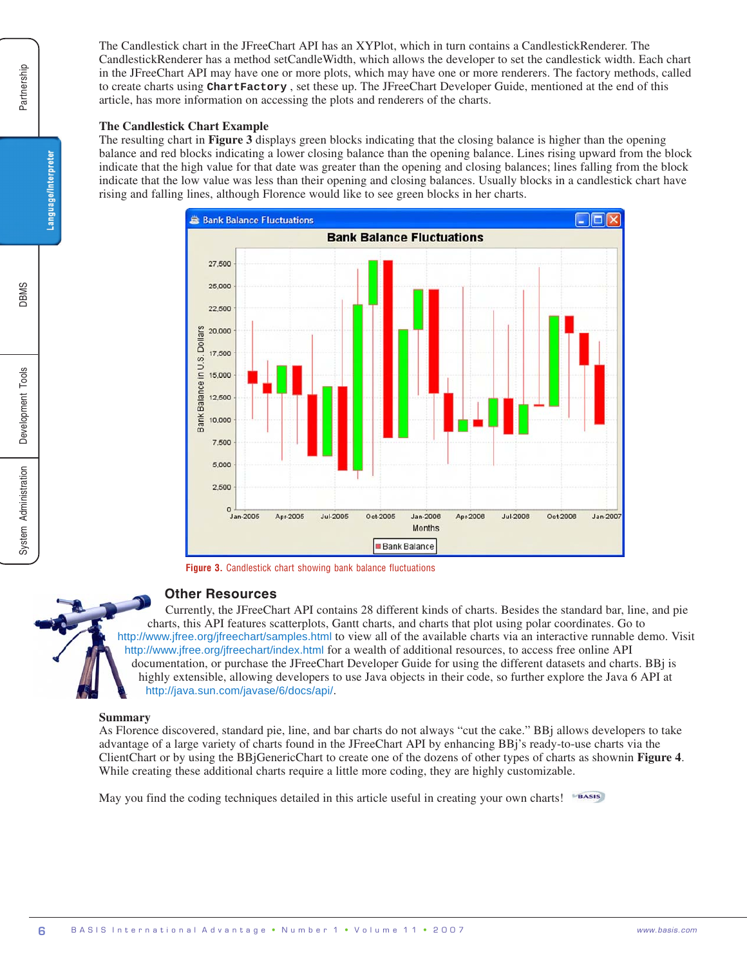The Candlestick chart in the JFreeChart API has an XYPlot, which in turn contains a CandlestickRenderer. The CandlestickRenderer has a method setCandleWidth, which allows the developer to set the candlestick width. Each chart in the JFreeChart API may have one or more plots, which may have one or more renderers. The factory methods, called to create charts using **ChartFactory** , set these up. The JFreeChart Developer Guide, mentioned at the end of this article, has more information on accessing the plots and renderers of the charts.

#### **The Candlestick Chart Example**

The resulting chart in **Figure 3** displays green blocks indicating that the closing balance is higher than the opening balance and red blocks indicating a lower closing balance than the opening balance. Lines rising upward from the block indicate that the high value for that date was greater than the opening and closing balances; lines falling from the block indicate that the low value was less than their opening and closing balances. Usually blocks in a candlestick chart have rising and falling lines, although Florence would like to see green blocks in her charts.



**Figure 3.** Candlestick chart showing bank balance fluctuations

# **Other Resources**

Currently, the JFreeChart API contains 28 different kinds of charts. Besides the standard bar, line, and pie charts, this API features scatterplots, Gantt charts, and charts that plot using polar coordinates. Go to http://www.jfree.org/jfreechart/samples.html to view all of the available charts via an interactive runnable demo. Visit http://www.jfree.org/jfreechart/index.html for a wealth of additional resources, to access free online API documentation, or purchase the JFreeChart Developer Guide for using the different datasets and charts. BBj is highly extensible, allowing developers to use Java objects in their code, so further explore the Java 6 API at http://java.sun.com/javase/6/docs/api/.

#### **Summary**

As Florence discovered, standard pie, line, and bar charts do not always "cut the cake." BBj allows developers to take advantage of a large variety of charts found in the JFreeChart API by enhancing BBj's ready-to-use charts via the ClientChart or by using the BBjGenericChart to create one of the dozens of other types of charts as shownin **Figure 4**. While creating these additional charts require a little more coding, they are highly customizable.

May you find the coding techniques detailed in this article useful in creating your own charts!

Language/Interpreter

**SMBC**